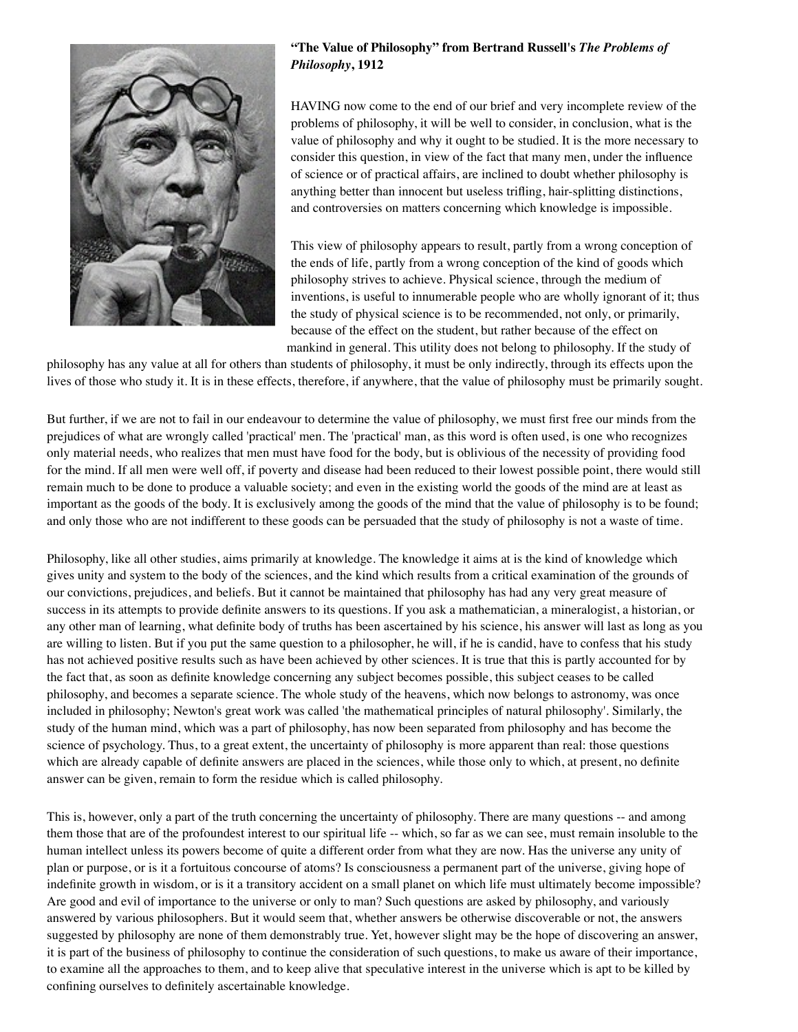

## **"The Value of Philosophy" from Bertrand Russell's** *The Problems of Philosophy***, 1912**

HAVING now come to the end of our brief and very incomplete review of the problems of philosophy, it will be well to consider, in conclusion, what is the value of philosophy and why it ought to be studied. It is the more necessary to consider this question, in view of the fact that many men, under the influence of science or of practical affairs, are inclined to doubt whether philosophy is anything better than innocent but useless trifling, hair-splitting distinctions, and controversies on matters concerning which knowledge is impossible.

This view of philosophy appears to result, partly from a wrong conception of the ends of life, partly from a wrong conception of the kind of goods which philosophy strives to achieve. Physical science, through the medium of inventions, is useful to innumerable people who are wholly ignorant of it; thus the study of physical science is to be recommended, not only, or primarily, because of the effect on the student, but rather because of the effect on mankind in general. This utility does not belong to philosophy. If the study of

philosophy has any value at all for others than students of philosophy, it must be only indirectly, through its effects upon the lives of those who study it. It is in these effects, therefore, if anywhere, that the value of philosophy must be primarily sought.

But further, if we are not to fail in our endeavour to determine the value of philosophy, we must first free our minds from the prejudices of what are wrongly called 'practical' men. The 'practical' man, as this word is often used, is one who recognizes only material needs, who realizes that men must have food for the body, but is oblivious of the necessity of providing food for the mind. If all men were well off, if poverty and disease had been reduced to their lowest possible point, there would still remain much to be done to produce a valuable society; and even in the existing world the goods of the mind are at least as important as the goods of the body. It is exclusively among the goods of the mind that the value of philosophy is to be found; and only those who are not indifferent to these goods can be persuaded that the study of philosophy is not a waste of time.

Philosophy, like all other studies, aims primarily at knowledge. The knowledge it aims at is the kind of knowledge which gives unity and system to the body of the sciences, and the kind which results from a critical examination of the grounds of our convictions, prejudices, and beliefs. But it cannot be maintained that philosophy has had any very great measure of success in its attempts to provide definite answers to its questions. If you ask a mathematician, a mineralogist, a historian, or any other man of learning, what definite body of truths has been ascertained by his science, his answer will last as long as you are willing to listen. But if you put the same question to a philosopher, he will, if he is candid, have to confess that his study has not achieved positive results such as have been achieved by other sciences. It is true that this is partly accounted for by the fact that, as soon as definite knowledge concerning any subject becomes possible, this subject ceases to be called philosophy, and becomes a separate science. The whole study of the heavens, which now belongs to astronomy, was once included in philosophy; Newton's great work was called 'the mathematical principles of natural philosophy'. Similarly, the study of the human mind, which was a part of philosophy, has now been separated from philosophy and has become the science of psychology. Thus, to a great extent, the uncertainty of philosophy is more apparent than real: those questions which are already capable of definite answers are placed in the sciences, while those only to which, at present, no definite answer can be given, remain to form the residue which is called philosophy.

This is, however, only a part of the truth concerning the uncertainty of philosophy. There are many questions -- and among them those that are of the profoundest interest to our spiritual life -- which, so far as we can see, must remain insoluble to the human intellect unless its powers become of quite a different order from what they are now. Has the universe any unity of plan or purpose, or is it a fortuitous concourse of atoms? Is consciousness a permanent part of the universe, giving hope of indefinite growth in wisdom, or is it a transitory accident on a small planet on which life must ultimately become impossible? Are good and evil of importance to the universe or only to man? Such questions are asked by philosophy, and variously answered by various philosophers. But it would seem that, whether answers be otherwise discoverable or not, the answers suggested by philosophy are none of them demonstrably true. Yet, however slight may be the hope of discovering an answer, it is part of the business of philosophy to continue the consideration of such questions, to make us aware of their importance, to examine all the approaches to them, and to keep alive that speculative interest in the universe which is apt to be killed by confining ourselves to definitely ascertainable knowledge.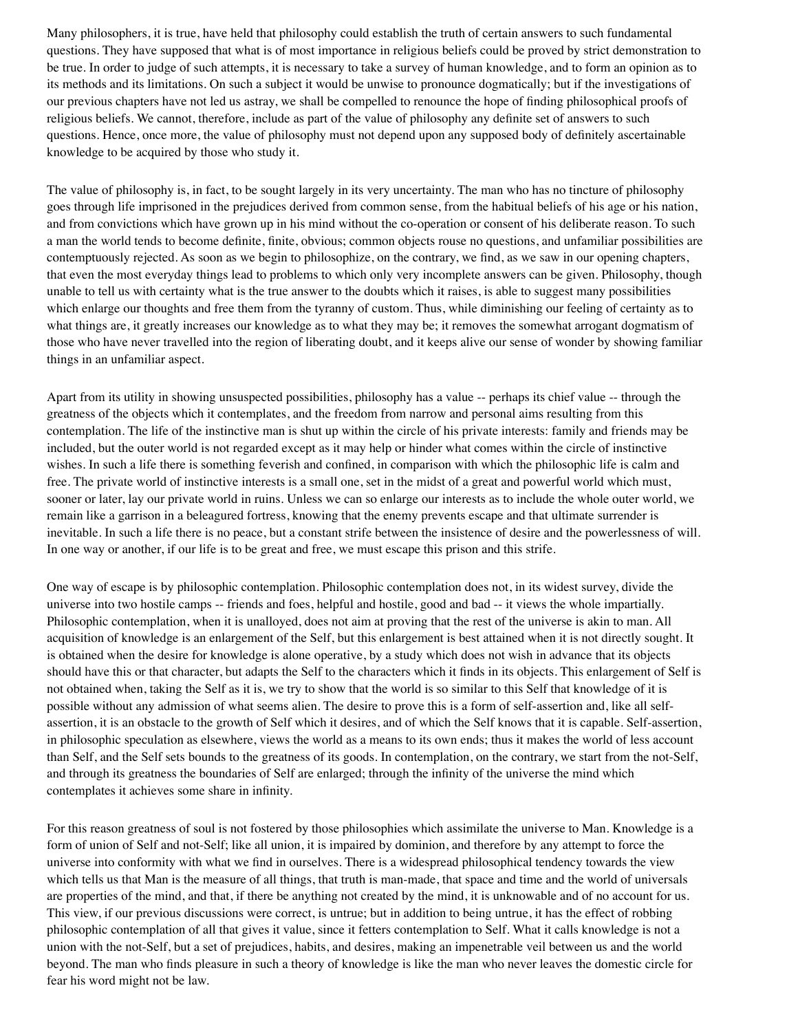Many philosophers, it is true, have held that philosophy could establish the truth of certain answers to such fundamental questions. They have supposed that what is of most importance in religious beliefs could be proved by strict demonstration to be true. In order to judge of such attempts, it is necessary to take a survey of human knowledge, and to form an opinion as to its methods and its limitations. On such a subject it would be unwise to pronounce dogmatically; but if the investigations of our previous chapters have not led us astray, we shall be compelled to renounce the hope of finding philosophical proofs of religious beliefs. We cannot, therefore, include as part of the value of philosophy any definite set of answers to such questions. Hence, once more, the value of philosophy must not depend upon any supposed body of definitely ascertainable knowledge to be acquired by those who study it.

The value of philosophy is, in fact, to be sought largely in its very uncertainty. The man who has no tincture of philosophy goes through life imprisoned in the prejudices derived from common sense, from the habitual beliefs of his age or his nation, and from convictions which have grown up in his mind without the co-operation or consent of his deliberate reason. To such a man the world tends to become definite, finite, obvious; common objects rouse no questions, and unfamiliar possibilities are contemptuously rejected. As soon as we begin to philosophize, on the contrary, we find, as we saw in our opening chapters, that even the most everyday things lead to problems to which only very incomplete answers can be given. Philosophy, though unable to tell us with certainty what is the true answer to the doubts which it raises, is able to suggest many possibilities which enlarge our thoughts and free them from the tyranny of custom. Thus, while diminishing our feeling of certainty as to what things are, it greatly increases our knowledge as to what they may be; it removes the somewhat arrogant dogmatism of those who have never travelled into the region of liberating doubt, and it keeps alive our sense of wonder by showing familiar things in an unfamiliar aspect.

Apart from its utility in showing unsuspected possibilities, philosophy has a value -- perhaps its chief value -- through the greatness of the objects which it contemplates, and the freedom from narrow and personal aims resulting from this contemplation. The life of the instinctive man is shut up within the circle of his private interests: family and friends may be included, but the outer world is not regarded except as it may help or hinder what comes within the circle of instinctive wishes. In such a life there is something feverish and confined, in comparison with which the philosophic life is calm and free. The private world of instinctive interests is a small one, set in the midst of a great and powerful world which must, sooner or later, lay our private world in ruins. Unless we can so enlarge our interests as to include the whole outer world, we remain like a garrison in a beleagured fortress, knowing that the enemy prevents escape and that ultimate surrender is inevitable. In such a life there is no peace, but a constant strife between the insistence of desire and the powerlessness of will. In one way or another, if our life is to be great and free, we must escape this prison and this strife.

One way of escape is by philosophic contemplation. Philosophic contemplation does not, in its widest survey, divide the universe into two hostile camps -- friends and foes, helpful and hostile, good and bad -- it views the whole impartially. Philosophic contemplation, when it is unalloyed, does not aim at proving that the rest of the universe is akin to man. All acquisition of knowledge is an enlargement of the Self, but this enlargement is best attained when it is not directly sought. It is obtained when the desire for knowledge is alone operative, by a study which does not wish in advance that its objects should have this or that character, but adapts the Self to the characters which it finds in its objects. This enlargement of Self is not obtained when, taking the Self as it is, we try to show that the world is so similar to this Self that knowledge of it is possible without any admission of what seems alien. The desire to prove this is a form of self-assertion and, like all selfassertion, it is an obstacle to the growth of Self which it desires, and of which the Self knows that it is capable. Self-assertion, in philosophic speculation as elsewhere, views the world as a means to its own ends; thus it makes the world of less account than Self, and the Self sets bounds to the greatness of its goods. In contemplation, on the contrary, we start from the not-Self, and through its greatness the boundaries of Self are enlarged; through the infinity of the universe the mind which contemplates it achieves some share in infinity.

For this reason greatness of soul is not fostered by those philosophies which assimilate the universe to Man. Knowledge is a form of union of Self and not-Self; like all union, it is impaired by dominion, and therefore by any attempt to force the universe into conformity with what we find in ourselves. There is a widespread philosophical tendency towards the view which tells us that Man is the measure of all things, that truth is man-made, that space and time and the world of universals are properties of the mind, and that, if there be anything not created by the mind, it is unknowable and of no account for us. This view, if our previous discussions were correct, is untrue; but in addition to being untrue, it has the effect of robbing philosophic contemplation of all that gives it value, since it fetters contemplation to Self. What it calls knowledge is not a union with the not-Self, but a set of prejudices, habits, and desires, making an impenetrable veil between us and the world beyond. The man who finds pleasure in such a theory of knowledge is like the man who never leaves the domestic circle for fear his word might not be law.